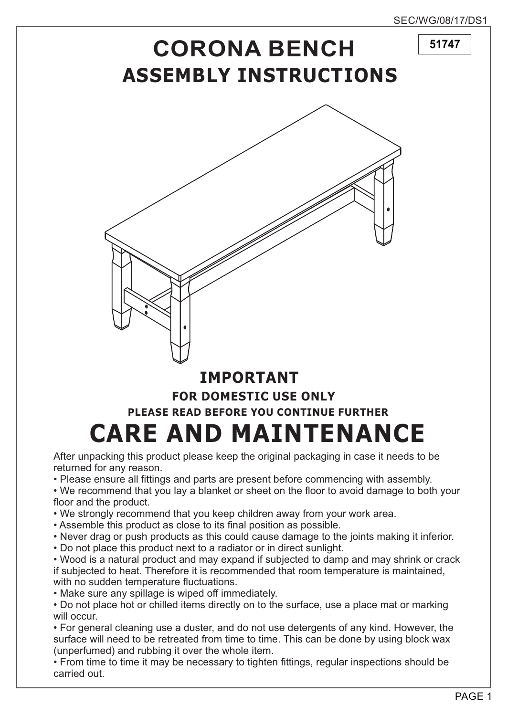**51747**

## **ASSEMBLY INSTRUCTIONS CORONA BENCH**



## **IMPORTANT PLEASE READ BEFORE YOU CONTINUE FURTHER CARE AND MAINTENANCE FOR DOMESTIC USE ONLY**

After unpacking this product please keep the original packaging in case it needs to be returned for any reason.

• Please ensure all fittings and parts are present before commencing with assembly.

• We recommend that you lay a blanket or sheet on the floor to avoid damage to both your floor and the product.

- We strongly recommend that you keep children away from your work area.
- Assemble this product as close to its final position as possible.
- Never drag or push products as this could cause damage to the joints making it inferior.
- Do not place this product next to a radiator or in direct sunlight.

• Wood is a natural product and may expand if subjected to damp and may shrink or crack if subjected to heat. Therefore it is recommended that room temperature is maintained, with no sudden temperature fluctuations.

• Make sure any spillage is wiped off immediately.

• Do not place hot or chilled items directly on to the surface, use a place mat or marking will occur.

• For general cleaning use a duster, and do not use detergents of any kind. However, the surface will need to be retreated from time to time. This can be done by using block wax (unperfumed) and rubbing it over the whole item.

• From time to time it may be necessary to tighten fittings, regular inspections should be carried out.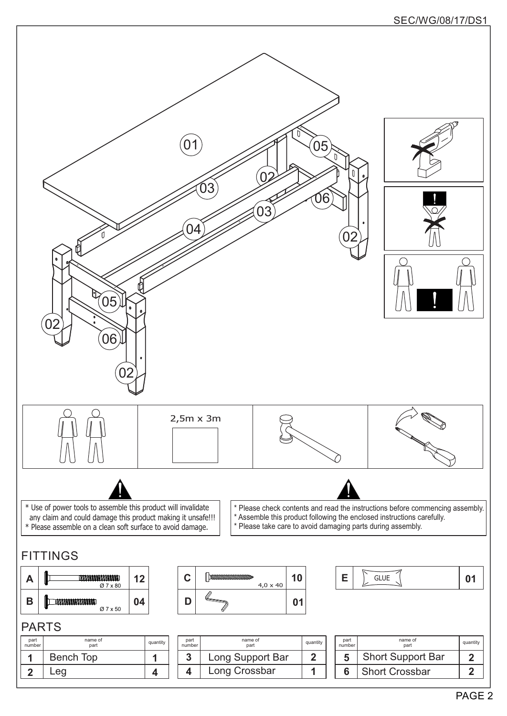## SEC/WG/08/17/DS1